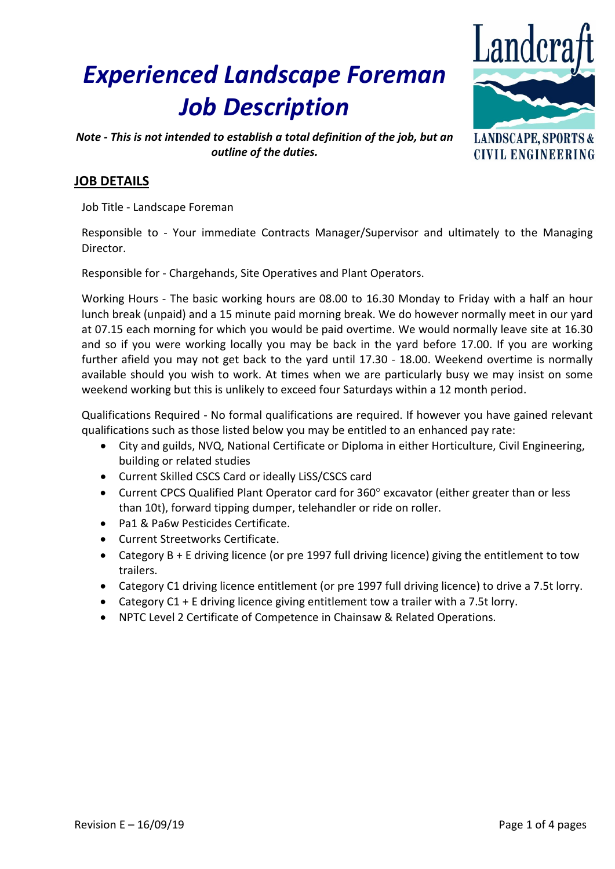# *Experienced Landscape Foreman Job Description*



*Note - This is not intended to establish a total definition of the job, but an outline of the duties.*

### **LANDSCAPE, SPORTS & CIVIL ENGINEERING**

## **JOB DETAILS**

Job Title - Landscape Foreman

Responsible to - Your immediate Contracts Manager/Supervisor and ultimately to the Managing Director.

Responsible for - Chargehands, Site Operatives and Plant Operators.

Working Hours - The basic working hours are 08.00 to 16.30 Monday to Friday with a half an hour lunch break (unpaid) and a 15 minute paid morning break. We do however normally meet in our yard at 07.15 each morning for which you would be paid overtime. We would normally leave site at 16.30 and so if you were working locally you may be back in the yard before 17.00. If you are working further afield you may not get back to the yard until 17.30 - 18.00. Weekend overtime is normally available should you wish to work. At times when we are particularly busy we may insist on some weekend working but this is unlikely to exceed four Saturdays within a 12 month period.

Qualifications Required - No formal qualifications are required. If however you have gained relevant qualifications such as those listed below you may be entitled to an enhanced pay rate:

- City and guilds, NVQ, National Certificate or Diploma in either Horticulture, Civil Engineering, building or related studies
- Current Skilled CSCS Card or ideally LiSS/CSCS card
- Current CPCS Qualified Plant Operator card for 360° excavator (either greater than or less than 10t), forward tipping dumper, telehandler or ride on roller.
- Pa1 & Pa6w Pesticides Certificate.
- Current Streetworks Certificate.
- Category B + E driving licence (or pre 1997 full driving licence) giving the entitlement to tow trailers.
- Category C1 driving licence entitlement (or pre 1997 full driving licence) to drive a 7.5t lorry.
- Category C1 + E driving licence giving entitlement tow a trailer with a 7.5t lorry.
- NPTC Level 2 Certificate of Competence in Chainsaw & Related Operations.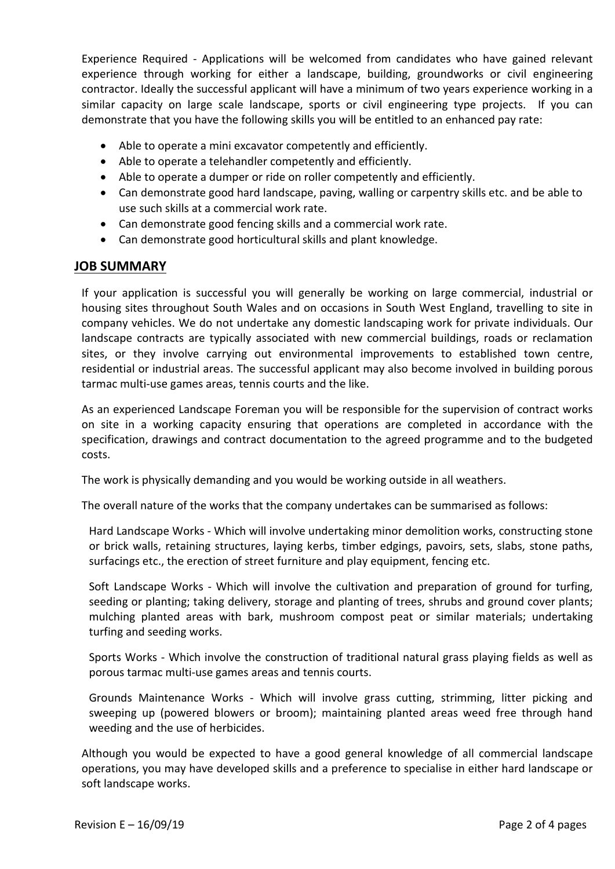Experience Required - Applications will be welcomed from candidates who have gained relevant experience through working for either a landscape, building, groundworks or civil engineering contractor. Ideally the successful applicant will have a minimum of two years experience working in a similar capacity on large scale landscape, sports or civil engineering type projects. If you can demonstrate that you have the following skills you will be entitled to an enhanced pay rate:

- Able to operate a mini excavator competently and efficiently.
- Able to operate a telehandler competently and efficiently.
- Able to operate a dumper or ride on roller competently and efficiently.
- Can demonstrate good hard landscape, paving, walling or carpentry skills etc. and be able to use such skills at a commercial work rate.
- Can demonstrate good fencing skills and a commercial work rate.
- Can demonstrate good horticultural skills and plant knowledge.

#### **JOB SUMMARY**

If your application is successful you will generally be working on large commercial, industrial or housing sites throughout South Wales and on occasions in South West England, travelling to site in company vehicles. We do not undertake any domestic landscaping work for private individuals. Our landscape contracts are typically associated with new commercial buildings, roads or reclamation sites, or they involve carrying out environmental improvements to established town centre, residential or industrial areas. The successful applicant may also become involved in building porous tarmac multi-use games areas, tennis courts and the like.

As an experienced Landscape Foreman you will be responsible for the supervision of contract works on site in a working capacity ensuring that operations are completed in accordance with the specification, drawings and contract documentation to the agreed programme and to the budgeted costs.

The work is physically demanding and you would be working outside in all weathers.

The overall nature of the works that the company undertakes can be summarised as follows:

Hard Landscape Works - Which will involve undertaking minor demolition works, constructing stone or brick walls, retaining structures, laying kerbs, timber edgings, pavoirs, sets, slabs, stone paths, surfacings etc., the erection of street furniture and play equipment, fencing etc.

Soft Landscape Works - Which will involve the cultivation and preparation of ground for turfing, seeding or planting; taking delivery, storage and planting of trees, shrubs and ground cover plants; mulching planted areas with bark, mushroom compost peat or similar materials; undertaking turfing and seeding works.

Sports Works - Which involve the construction of traditional natural grass playing fields as well as porous tarmac multi-use games areas and tennis courts.

Grounds Maintenance Works - Which will involve grass cutting, strimming, litter picking and sweeping up (powered blowers or broom); maintaining planted areas weed free through hand weeding and the use of herbicides.

Although you would be expected to have a good general knowledge of all commercial landscape operations, you may have developed skills and a preference to specialise in either hard landscape or soft landscape works.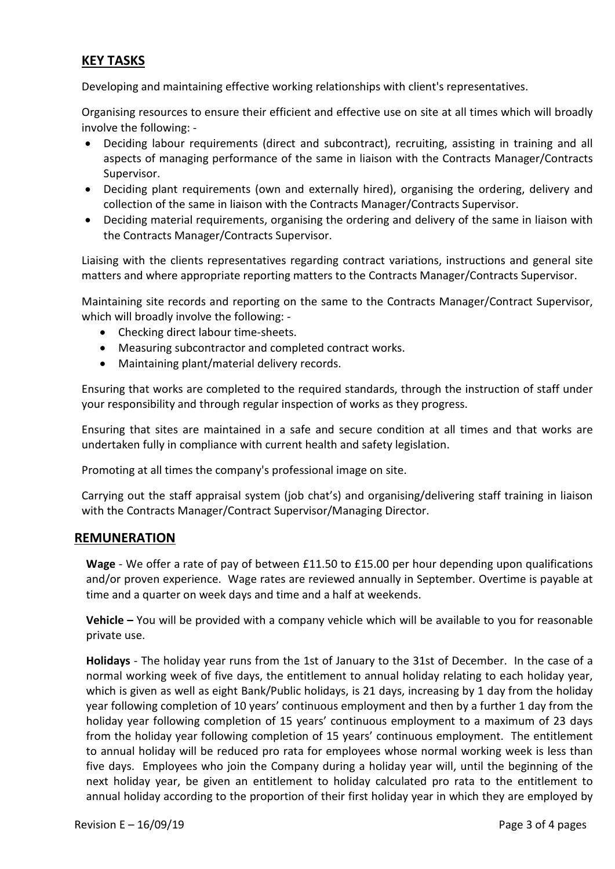## **KEY TASKS**

Developing and maintaining effective working relationships with client's representatives.

Organising resources to ensure their efficient and effective use on site at all times which will broadly involve the following: -

- Deciding labour requirements (direct and subcontract), recruiting, assisting in training and all aspects of managing performance of the same in liaison with the Contracts Manager/Contracts Supervisor.
- Deciding plant requirements (own and externally hired), organising the ordering, delivery and collection of the same in liaison with the Contracts Manager/Contracts Supervisor.
- Deciding material requirements, organising the ordering and delivery of the same in liaison with the Contracts Manager/Contracts Supervisor.

Liaising with the clients representatives regarding contract variations, instructions and general site matters and where appropriate reporting matters to the Contracts Manager/Contracts Supervisor.

Maintaining site records and reporting on the same to the Contracts Manager/Contract Supervisor, which will broadly involve the following: -

- Checking direct labour time-sheets.
- Measuring subcontractor and completed contract works.
- Maintaining plant/material delivery records.

Ensuring that works are completed to the required standards, through the instruction of staff under your responsibility and through regular inspection of works as they progress.

Ensuring that sites are maintained in a safe and secure condition at all times and that works are undertaken fully in compliance with current health and safety legislation.

Promoting at all times the company's professional image on site.

Carrying out the staff appraisal system (job chat's) and organising/delivering staff training in liaison with the Contracts Manager/Contract Supervisor/Managing Director.

#### **REMUNERATION**

**Wage** - We offer a rate of pay of between £11.50 to £15.00 per hour depending upon qualifications and/or proven experience. Wage rates are reviewed annually in September. Overtime is payable at time and a quarter on week days and time and a half at weekends.

**Vehicle –** You will be provided with a company vehicle which will be available to you for reasonable private use.

**Holidays** - The holiday year runs from the 1st of January to the 31st of December. In the case of a normal working week of five days, the entitlement to annual holiday relating to each holiday year, which is given as well as eight Bank/Public holidays, is 21 days, increasing by 1 day from the holiday year following completion of 10 years' continuous employment and then by a further 1 day from the holiday year following completion of 15 years' continuous employment to a maximum of 23 days from the holiday year following completion of 15 years' continuous employment. The entitlement to annual holiday will be reduced pro rata for employees whose normal working week is less than five days. Employees who join the Company during a holiday year will, until the beginning of the next holiday year, be given an entitlement to holiday calculated pro rata to the entitlement to annual holiday according to the proportion of their first holiday year in which they are employed by